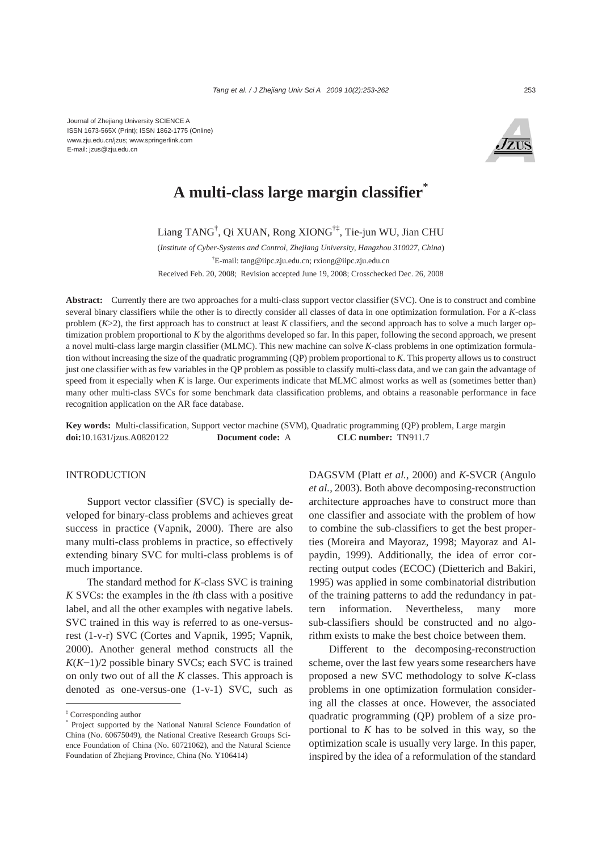Journal of Zhejiang University SCIENCE A ISSN 1673-565X (Print); ISSN 1862-1775 (Online) www.zju.edu.cn/jzus; www.springerlink.com E-mail: jzus@zju.edu.cn



# **A multi-class large margin classifier\***

Liang TANG† , Qi XUAN, Rong XIONG†‡, Tie-jun WU, Jian CHU

(*Institute of Cyber-Systems and Control, Zhejiang University, Hangzhou 310027, China*) † E-mail: tang@iipc.zju.edu.cn; rxiong@iipc.zju.edu.cn Received Feb. 20, 2008; Revision accepted June 19, 2008; Crosschecked Dec. 26, 2008

**Abstract:** Currently there are two approaches for a multi-class support vector classifier (SVC). One is to construct and combine several binary classifiers while the other is to directly consider all classes of data in one optimization formulation. For a *K*-class problem  $(K>2)$ , the first approach has to construct at least K classifiers, and the second approach has to solve a much larger optimization problem proportional to *K* by the algorithms developed so far. In this paper, following the second approach, we present a novel multi-class large margin classifier (MLMC). This new machine can solve *K*-class problems in one optimization formulation without increasing the size of the quadratic programming (QP) problem proportional to *K*. This property allows us to construct just one classifier with as few variables in the QP problem as possible to classify multi-class data, and we can gain the advantage of speed from it especially when *K* is large. Our experiments indicate that MLMC almost works as well as (sometimes better than) many other multi-class SVCs for some benchmark data classification problems, and obtains a reasonable performance in face recognition application on the AR face database.

**Key words:** Multi-classification, Support vector machine (SVM), Quadratic programming (QP) problem, Large margin **doi:**10.1631/jzus.A0820122 **Document code:** A **CLC number:** TN911.7

# **INTRODUCTION**

Support vector classifier (SVC) is specially developed for binary-class problems and achieves great success in practice (Vapnik, 2000). There are also many multi-class problems in practice, so effectively extending binary SVC for multi-class problems is of much importance.

The standard method for *K*-class SVC is training *K* SVCs: the examples in the *i*th class with a positive label, and all the other examples with negative labels. SVC trained in this way is referred to as one-versusrest (1-v-r) SVC (Cortes and Vapnik, 1995; Vapnik, 2000). Another general method constructs all the *K*(*K*−1)/2 possible binary SVCs; each SVC is trained on only two out of all the *K* classes. This approach is denoted as one-versus-one (1-v-1) SVC, such as

DAGSVM (Platt *et al.*, 2000) and *K*-SVCR (Angulo *et al.*, 2003). Both above decomposing-reconstruction architecture approaches have to construct more than one classifier and associate with the problem of how to combine the sub-classifiers to get the best properties (Moreira and Mayoraz, 1998; Mayoraz and Alpaydin, 1999). Additionally, the idea of error correcting output codes (ECOC) (Dietterich and Bakiri, 1995) was applied in some combinatorial distribution of the training patterns to add the redundancy in pattern information. Nevertheless, many more sub-classifiers should be constructed and no algorithm exists to make the best choice between them.

Different to the decomposing-reconstruction scheme, over the last few years some researchers have proposed a new SVC methodology to solve *K*-class problems in one optimization formulation considering all the classes at once. However, the associated quadratic programming (QP) problem of a size proportional to  $K$  has to be solved in this way, so the optimization scale is usually very large. In this paper, inspired by the idea of a reformulation of the standard

<sup>‡</sup> Corresponding author

<sup>\*</sup> Project supported by the National Natural Science Foundation of China (No. 60675049), the National Creative Research Groups Science Foundation of China (No. 60721062), and the Natural Science Foundation of Zhejiang Province, China (No. Y106414)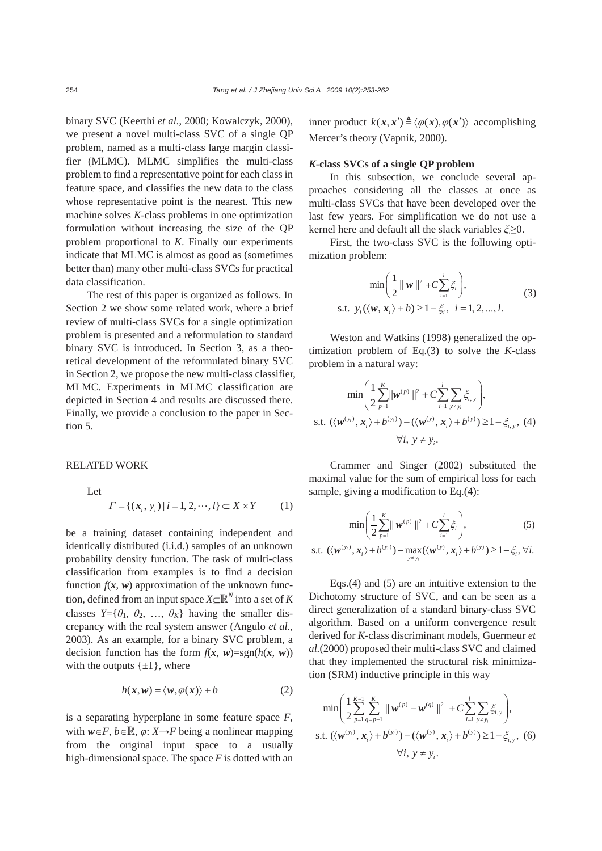binary SVC (Keerthi *et al.*, 2000; Kowalczyk, 2000), we present a novel multi-class SVC of a single QP problem, named as a multi-class large margin classifier (MLMC). MLMC simplifies the multi-class problem to find a representative point for each class in feature space, and classifies the new data to the class whose representative point is the nearest. This new machine solves *K*-class problems in one optimization formulation without increasing the size of the QP problem proportional to *K*. Finally our experiments indicate that MLMC is almost as good as (sometimes better than) many other multi-class SVCs for practical data classification.

The rest of this paper is organized as follows. In Section 2 we show some related work, where a brief review of multi-class SVCs for a single optimization problem is presented and a reformulation to standard binary SVC is introduced. In Section 3, as a theoretical development of the reformulated binary SVC in Section 2, we propose the new multi-class classifier, MLMC. Experiments in MLMC classification are depicted in Section 4 and results are discussed there. Finally, we provide a conclusion to the paper in Section 5.

RELATED WORK

Let  

$$
\Gamma = \{ (x_i, y_i) | i = 1, 2, \cdots, l \} \subset X \times Y \tag{1}
$$

be a training dataset containing independent and identically distributed (i.i.d.) samples of an unknown probability density function. The task of multi-class classification from examples is to find a decision function  $f(x, w)$  approximation of the unknown function, defined from an input space  $X \subseteq \mathbb{R}^N$  into a set of *K* classes  $Y = \{ \theta_1, \theta_2, \dots, \theta_K \}$  having the smaller discrepancy with the real system answer (Angulo *et al.*, 2003). As an example, for a binary SVC problem, a decision function has the form  $f(x, w) = sgn(h(x, w))$ with the outputs  $\{\pm 1\}$ , where

$$
h(x, w) = \langle w, \varphi(x) \rangle + b \tag{2}
$$

is a separating hyperplane in some feature space *F*, with  $w \in F$ ,  $b \in \mathbb{R}$ ,  $\varphi$ :  $X \rightarrow F$  being a nonlinear mapping from the original input space to a usually high-dimensional space. The space *F* is dotted with an inner product  $k(x, x') \triangleq \langle \varphi(x), \varphi(x') \rangle$  accomplishing Mercer's theory (Vapnik, 2000).

#### *K***-class SVCs of a single QP problem**

In this subsection, we conclude several approaches considering all the classes at once as multi-class SVCs that have been developed over the last few years. For simplification we do not use a kernel here and default all the slack variables *ξi*≥0.

First, the two-class SVC is the following optimization problem:

$$
\min\left(\frac{1}{2}||\mathbf{w}||^2 + C\sum_{i=1}^l \xi_i\right),
$$
  
s.t.  $y_i(\langle \mathbf{w}, \mathbf{x}_i \rangle + b) \ge 1 - \xi_i, \quad i = 1, 2, ..., l.$  (3)

Weston and Watkins (1998) generalized the optimization problem of Eq.(3) to solve the *K*-class problem in a natural way:

$$
\min\left(\frac{1}{2}\sum_{p=1}^{K} \|\mathbf{w}^{(p)}\|^2 + C\sum_{i=1}^{I} \sum_{y \neq y_i} \xi_{i,y}\right),
$$
  
s.t.  $(\langle \mathbf{w}^{(y_i)}, \mathbf{x}_i \rangle + b^{(y_i)}) - (\langle \mathbf{w}^{(y)}, \mathbf{x}_i \rangle + b^{(y)}) \ge 1 - \xi_{i,y},$  (4)  
 $\forall i, y \neq y_i.$ 

Crammer and Singer (2002) substituted the maximal value for the sum of empirical loss for each sample, giving a modification to Eq.(4):

$$
\min\left(\frac{1}{2}\sum_{p=1}^{K}||\mathbf{w}^{(p)}||^{2} + C\sum_{i=1}^{I}\xi_{i}\right),\tag{5}
$$

s.t. 
$$
(\langle \mathbf{w}^{(y_i)}, \mathbf{x}_i \rangle + b^{(y_i)}) - \max_{y \neq y_i} (\langle \mathbf{w}^{(y)}, \mathbf{x}_i \rangle + b^{(y)}) \geq 1 - \xi_i, \forall i.
$$

Eqs.(4) and (5) are an intuitive extension to the Dichotomy structure of SVC, and can be seen as a direct generalization of a standard binary-class SVC algorithm. Based on a uniform convergence result derived for *K*-class discriminant models, Guermeur *et al.*(2000) proposed their multi-class SVC and claimed that they implemented the structural risk minimization (SRM) inductive principle in this way

$$
\min\left(\frac{1}{2}\sum_{p=1}^{K-1}\sum_{q=p+1}^{K}||\mathbf{w}^{(p)} - \mathbf{w}^{(q)}||^{2} + C\sum_{i=1}^{I}\sum_{y \neq y_{i}}\xi_{i,y}\right),
$$
  
s.t.  $(\langle \mathbf{w}^{(y_{i})}, \mathbf{x}_{i} \rangle + b^{(y_{i})}) - (\langle \mathbf{w}^{(y)}, \mathbf{x}_{i} \rangle + b^{(y)}) \ge 1 - \xi_{i,y},$  (6)  
 $\forall i, y \neq y_{i}.$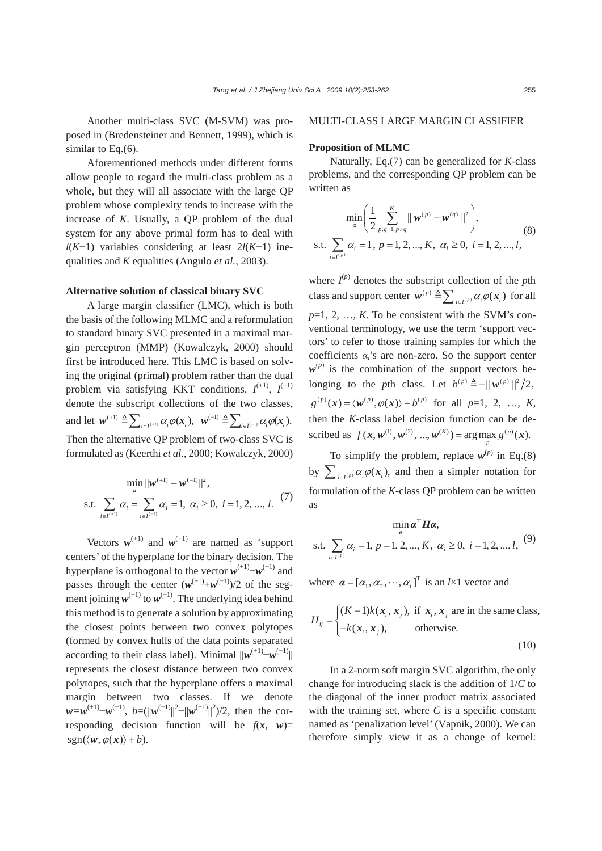Another multi-class SVC (M-SVM) was proposed in (Bredensteiner and Bennett, 1999), which is similar to Eq.(6).

Aforementioned methods under different forms allow people to regard the multi-class problem as a whole, but they will all associate with the large QP problem whose complexity tends to increase with the increase of *K*. Usually, a QP problem of the dual system for any above primal form has to deal with *l*(*K*−1) variables considering at least 2*l*(*K*−1) inequalities and *K* equalities (Angulo *et al.*, 2003).

#### **Alternative solution of classical binary SVC**

A large margin classifier (LMC), which is both the basis of the following MLMC and a reformulation to standard binary SVC presented in a maximal margin perceptron (MMP) (Kowalczyk, 2000) should first be introduced here. This LMC is based on solving the original (primal) problem rather than the dual problem via satisfying KKT conditions.  $I^{(+1)}$ ,  $I^{(-1)}$ denote the subscript collections of the two classes, and let  $w^{(+)} \triangleq \sum_{i \in I^{(+)}} \alpha_i \varphi(x_i)$ ,  $w^{(-)} \triangleq \sum_{i \in I^{(-)}} \alpha_i \varphi(x_i)$ . Then the alternative QP problem of two-class SVC is formulated as (Keerthi *et al.*, 2000; Kowalczyk, 2000)

$$
\min_{\alpha} ||w^{(+1)} - w^{(-1)}||^2,
$$
  
s.t. 
$$
\sum_{i \in I^{(+)}} \alpha_i = \sum_{i \in I^{(-)}} \alpha_i = 1, \ \alpha_i \ge 0, \ i = 1, 2, ..., l.
$$
 (7)

Vectors  $w^{(+1)}$  and  $w^{(-1)}$  are named as 'support centers' of the hyperplane for the binary decision. The hyperplane is orthogonal to the vector  $w^{(+1)}$ <sup>−*w*(−1)</sup> and passes through the center  $(w^{(+1)}+w^{(-1)})/2$  of the segment joining  $w^{(+1)}$  to  $w^{(-1)}$ . The underlying idea behind this method is to generate a solution by approximating the closest points between two convex polytopes (formed by convex hulls of the data points separated according to their class label). Minimal  $||w^{(+1)}-w^{(-1)}||$ represents the closest distance between two convex polytopes, such that the hyperplane offers a maximal margin between two classes. If we denote *w*=*w*<sup>(+1)</sup>−*w*<sup>(-1)</sup>, *b*=(||*w*<sup>(-1)</sup>||<sup>2</sup>−||*w*<sup>(+1)</sup>||<sup>2</sup>)/2, then the corresponding decision function will be  $f(x, w)$ =  $sgn(\langle w, \varphi(x) \rangle + b)$ .

# MULTI-CLASS LARGE MARGIN CLASSIFIER

# **Proposition of MLMC**

Naturally, Eq.(7) can be generalized for *K*-class problems, and the corresponding QP problem can be written as

$$
\min_{\alpha} \left( \frac{1}{2} \sum_{p,q=1; p \neq q}^{K} || \mathbf{w}^{(p)} - \mathbf{w}^{(q)} ||^2 \right),
$$
  
s.t. 
$$
\sum_{i \in I^{(p)}} \alpha_i = 1, p = 1, 2, ..., K, \alpha_i \ge 0, i = 1, 2, ..., l,
$$
 (8)

where  $I^{(p)}$  denotes the subscript collection of the *p*th class and support center  $w^{(p)} \triangleq \sum_{i \in I^{(p)}} \alpha_i \varphi(x_i)$  for all  $p=1, 2, ..., K$ . To be consistent with the SVM's conventional terminology, we use the term 'support vectors' to refer to those training samples for which the coefficients *αi*'s are non-zero. So the support center  $w^{(p)}$  is the combination of the support vectors belonging to the *p*th class. Let  $b^{(p)} \triangleq -||w^{(p)}||^2/2$ ,  $g^{(p)}(x) = \langle w^{(p)}, \varphi(x) \rangle + b^{(p)}$  for all  $p=1, 2, ..., K$ , then the *K*-class label decision function can be described as  $f(x, w^{(1)}, w^{(2)}, ..., w^{(K)}) = \arg \max_{p} g^{(p)}(x)$ .

To simplify the problem, replace  $w^{(p)}$  in Eq.(8) by  $\sum_{i \in I^{(p)}} \alpha_i \varphi(x_i)$ , and then a simpler notation for formulation of the *K*-class QP problem can be written as

$$
\min_{a} a^{T} H a,
$$
  
s.t.  $\sum_{i \in I^{(p)}} \alpha_{i} = 1, p = 1, 2, ..., K, \alpha_{i} \ge 0, i = 1, 2, ..., l,$  (9)

where  $\boldsymbol{\alpha} = [\alpha_1, \alpha_2, \cdots, \alpha_l]^T$  is an *l*×1 vector and

$$
H_{ij} = \begin{cases} (K-1)k(x_i, x_j), & \text{if } x_i, x_j \text{ are in the same class,} \\ -k(x_i, x_j), & \text{otherwise.} \end{cases}
$$
(10)

In a 2-norm soft margin SVC algorithm, the only change for introducing slack is the addition of 1/*C* to the diagonal of the inner product matrix associated with the training set, where  $C$  is a specific constant named as 'penalization level' (Vapnik, 2000). We can therefore simply view it as a change of kernel: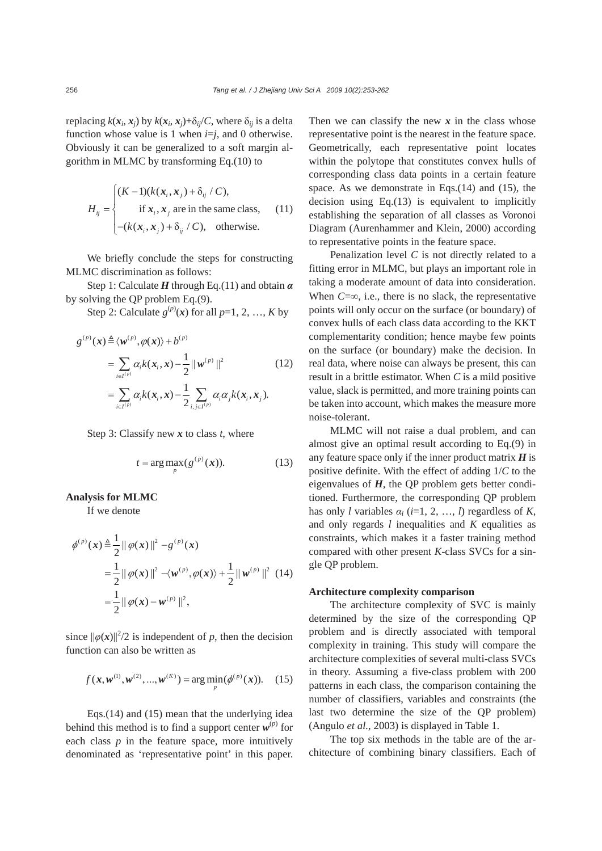replacing  $k(x_i, x_j)$  by  $k(x_i, x_j)+\delta_{ii}/C$ , where  $\delta_{ii}$  is a delta function whose value is 1 when  $i=j$ , and 0 otherwise. Obviously it can be generalized to a soft margin algorithm in MLMC by transforming Eq.(10) to

$$
H_{ij} = \begin{cases} (K-1)(k(x_i, x_j) + \delta_{ij} / C), & \text{if } x_i, x_j \text{ are in the same class,} \\ -(k(x_i, x_j) + \delta_{ij} / C), & \text{otherwise.} \end{cases}
$$
(11)

We briefly conclude the steps for constructing MLMC discrimination as follows:

Step 1: Calculate *H* through Eq.(11) and obtain *α* by solving the QP problem Eq.(9).

Step 2: Calculate  $g^{(p)}(x)$  for all  $p=1, 2, ..., K$  by

$$
g^{(p)}(\mathbf{x}) \triangleq \langle \mathbf{w}^{(p)}, \varphi(\mathbf{x}) \rangle + b^{(p)}
$$
  
= 
$$
\sum_{i \in I^{(p)}} \alpha_i k(\mathbf{x}_i, \mathbf{x}) - \frac{1}{2} ||\mathbf{w}^{(p)}||^2
$$
 (12)  
= 
$$
\sum_{i \in I^{(p)}} \alpha_i k(\mathbf{x}_i, \mathbf{x}) - \frac{1}{2} \sum_{i, j \in I^{(p)}} \alpha_i \alpha_j k(\mathbf{x}_i, \mathbf{x}_j).
$$

Step 3: Classify new *x* to class *t*, where

$$
t = \arg\max_{p} (g^{(p)}(\boldsymbol{x})). \tag{13}
$$

#### **Analysis for MLMC**

If we denote

$$
\begin{split} \phi^{(p)}(\mathbf{x}) &\triangleq \frac{1}{2} \|\varphi(\mathbf{x})\|^2 - g^{(p)}(\mathbf{x}) \\ &= \frac{1}{2} \|\varphi(\mathbf{x})\|^2 - \langle w^{(p)}, \varphi(\mathbf{x}) \rangle + \frac{1}{2} \|\boldsymbol{w}^{(p)}\|^2 \end{split} \tag{14}
$$
\n
$$
= \frac{1}{2} \|\varphi(\mathbf{x}) - w^{(p)}\|^2,
$$

since  $\|\varphi(\mathbf{x})\|^2/2$  is independent of *p*, then the decision function can also be written as

$$
f(\mathbf{x}, \mathbf{w}^{(1)}, \mathbf{w}^{(2)}, ..., \mathbf{w}^{(K)}) = \arg\min_{p} (\phi^{(p)}(\mathbf{x})).
$$
 (15)

Eqs.(14) and (15) mean that the underlying idea behind this method is to find a support center  $w^{(p)}$  for each class  $p$  in the feature space, more intuitively denominated as 'representative point' in this paper.

Then we can classify the new  $x$  in the class whose representative point is the nearest in the feature space. Geometrically, each representative point locates within the polytope that constitutes convex hulls of corresponding class data points in a certain feature space. As we demonstrate in Eqs.(14) and (15), the decision using Eq.(13) is equivalent to implicitly establishing the separation of all classes as Voronoi Diagram (Aurenhammer and Klein, 2000) according to representative points in the feature space.

Penalization level *C* is not directly related to a fitting error in MLMC, but plays an important role in taking a moderate amount of data into consideration. When  $C=\infty$ , i.e., there is no slack, the representative points will only occur on the surface (or boundary) of convex hulls of each class data according to the KKT complementarity condition; hence maybe few points on the surface (or boundary) make the decision. In real data, where noise can always be present, this can result in a brittle estimator. When *C* is a mild positive value, slack is permitted, and more training points can be taken into account, which makes the measure more noise-tolerant.

MLMC will not raise a dual problem, and can almost give an optimal result according to Eq.(9) in any feature space only if the inner product matrix *H* is positive definite. With the effect of adding 1/*C* to the eigenvalues of *H*, the QP problem gets better conditioned. Furthermore, the corresponding QP problem has only *l* variables  $\alpha_i$  (*i*=1, 2, …, *l*) regardless of *K*, and only regards *l* inequalities and *K* equalities as constraints, which makes it a faster training method compared with other present *K*-class SVCs for a single QP problem.

## **Architecture complexity comparison**

The architecture complexity of SVC is mainly determined by the size of the corresponding QP problem and is directly associated with temporal complexity in training. This study will compare the architecture complexities of several multi-class SVCs in theory. Assuming a five-class problem with 200 patterns in each class, the comparison containing the number of classifiers, variables and constraints (the last two determine the size of the QP problem) (Angulo *et al.*, 2003) is displayed in Table 1.

The top six methods in the table are of the architecture of combining binary classifiers. Each of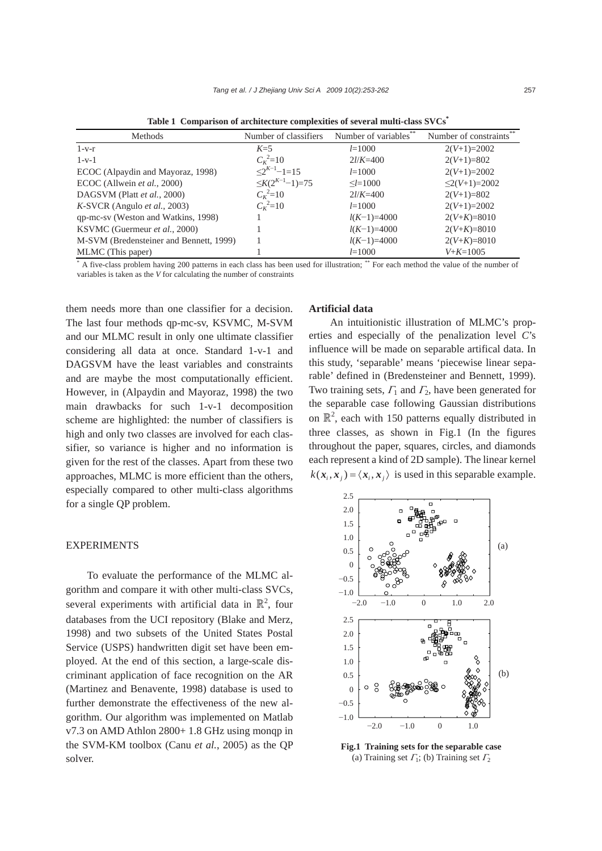| Methods                                 | Number of classifiers  | Number of variables** | Number of constraints** |
|-----------------------------------------|------------------------|-----------------------|-------------------------|
| $1-v-r$                                 | $K=5$                  | $l = 1000$            | $2(V+1)=2002$           |
| $1 - v - 1$                             | $C_K^2 = 10$           | $2l/K = 400$          | $2(V+1)=802$            |
| ECOC (Alpaydin and Mayoraz, 1998)       | $2^{K-1}-1=15$         | $l = 1000$            | $2(V+1)=2002$           |
| ECOC (Allwein et al., 2000)             | $\leq K(2^{K-1}-1)=75$ | $\le l = 1000$        | $\leq$ 2(V+1)=2002      |
| DAGSVM (Platt et al., 2000)             | $C_{K}^{2}=10$         | $2l/K = 400$          | $2(V+1)=802$            |
| $K-SVCR$ (Angulo <i>et al.</i> , 2003)  | $C_K^2 = 10$           | $l = 1000$            | $2(V+1)=2002$           |
| qp-mc-sv (Weston and Watkins, 1998)     |                        | $l(K-1)=4000$         | $2(V+K)=8010$           |
| KSVMC (Guermeur et al., 2000)           |                        | $l(K-1)=4000$         | $2(V+K)=8010$           |
| M-SVM (Bredensteiner and Bennett, 1999) |                        | $l(K-1)=4000$         | $2(V+K)=8010$           |
| MLMC (This paper)                       |                        | $l = 1000$            | $V + K = 1005$          |

**Table 1 Comparison of architecture complexities of several multi-class SVCs\***

\* A five-class problem having 200 patterns in each class has been used for illustration; \*\* For each method the value of the number of variables is taken as the *V* for calculating the number of constraints

them needs more than one classifier for a decision. The last four methods qp-mc-sv, KSVMC, M-SVM and our MLMC result in only one ultimate classifier considering all data at once. Standard 1-v-1 and DAGSVM have the least variables and constraints and are maybe the most computationally efficient. However, in (Alpaydin and Mayoraz, 1998) the two main drawbacks for such 1-v-1 decomposition scheme are highlighted: the number of classifiers is high and only two classes are involved for each classifier, so variance is higher and no information is given for the rest of the classes. Apart from these two approaches, MLMC is more efficient than the others, especially compared to other multi-class algorithms for a single QP problem.

## EXPERIMENTS

To evaluate the performance of the MLMC algorithm and compare it with other multi-class SVCs, several experiments with artificial data in  $\mathbb{R}^2$ , four databases from the UCI repository (Blake and Merz, 1998) and two subsets of the United States Postal Service (USPS) handwritten digit set have been employed. At the end of this section, a large-scale discriminant application of face recognition on the AR (Martinez and Benavente, 1998) database is used to further demonstrate the effectiveness of the new algorithm. Our algorithm was implemented on Matlab v7.3 on AMD Athlon 2800+ 1.8 GHz using monqp in the SVM-KM toolbox (Canu *et al.*, 2005) as the QP solver.

# **Artificial data**

An intuitionistic illustration of MLMC's properties and especially of the penalization level *C*'s influence will be made on separable artifical data. In this study, 'separable' means 'piecewise linear separable' defined in (Bredensteiner and Bennett, 1999). Two training sets,  $\Gamma_1$  and  $\Gamma_2$ , have been generated for the separable case following Gaussian distributions on  $\mathbb{R}^2$ , each with 150 patterns equally distributed in three classes, as shown in Fig.1 (In the figures throughout the paper, squares, circles, and diamonds each represent a kind of 2D sample). The linear kernel  $k(x_i, x_i) = \langle x_i, x_i \rangle$  is used in this separable example.



**Fig.1 Training sets for the separable case**  (a) Training set  $\Gamma_1$ ; (b) Training set  $\Gamma_2$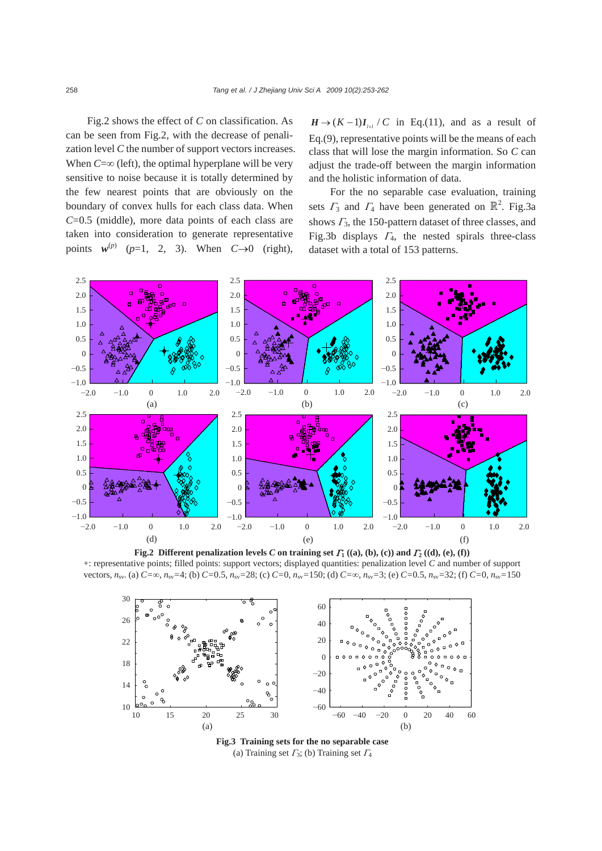Fig.2 shows the effect of *C* on classification. As can be seen from Fig.2, with the decrease of penalization level *C* the number of support vectors increases. When  $C = \infty$  (left), the optimal hyperplane will be very sensitive to noise because it is totally determined by the few nearest points that are obviously on the boundary of convex hulls for each class data. When *C*=0.5 (middle), more data points of each class are taken into consideration to generate representative points  $w^{(p)}$  ( $p=1$ , 2, 3). When  $C\rightarrow 0$  (right),

 $H \rightarrow (K-1)I_{\scriptscriptstyle{I} \times I} / C$  in Eq.(11), and as a result of Eq.(9), representative points will be the means of each class that will lose the margin information. So *C* can adjust the trade-off between the margin information and the holistic information of data.

For the no separable case evaluation, training sets  $\Gamma_3$  and  $\Gamma_4$  have been generated on  $\mathbb{R}^2$ . Fig.3a shows  $\Gamma_3$ , the 150-pattern dataset of three classes, and Fig.3b displays  $\Gamma_4$ , the nested spirals three-class dataset with a total of 153 patterns.



**Fig.2 Different penalization levels** *C* **on training set**  $\Gamma_1$  **((a), (b), (c)) and**  $\Gamma_2$  **((d), (e), (f))** +: representative points; filled points: support vectors; displayed quantities: penalization level *C* and number of support vectors,  $n_{sv}$ . (a)  $C = \infty$ ,  $n_{sv} = 4$ ; (b)  $C = 0.5$ ,  $n_{sv} = 28$ ; (c)  $C = 0$ ,  $n_{sv} = 150$ ; (d)  $C = \infty$ ,  $n_{sv} = 3$ ; (e)  $C = 0.5$ ,  $n_{sv} = 32$ ; (f)  $C = 0$ ,  $n_{sv} = 150$ 



**Fig.3 Training sets for the no separable case**  (a) Training set  $\Gamma_3$ ; (b) Training set  $\Gamma_4$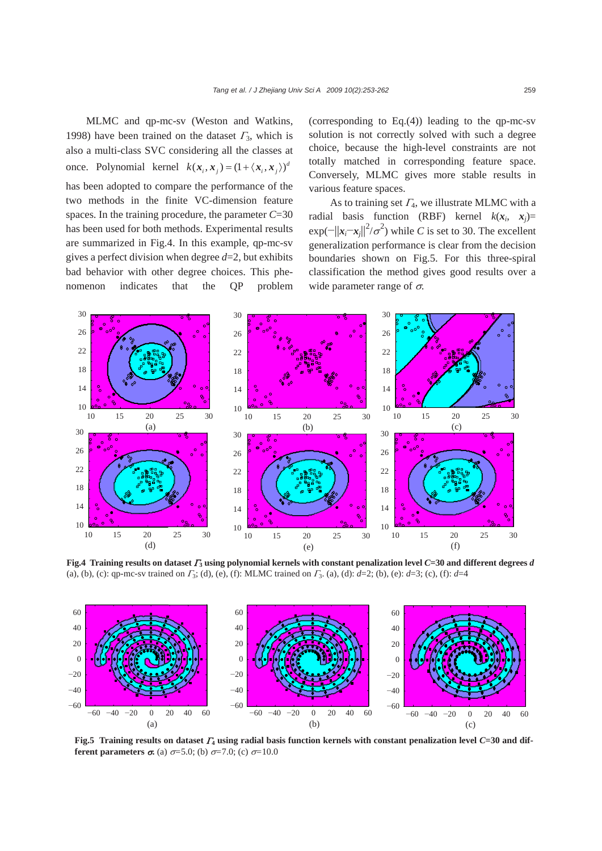MLMC and qp-mc-sv (Weston and Watkins, 1998) have been trained on the dataset  $\Gamma_3$ , which is also a multi-class SVC considering all the classes at once. Polynomial kernel  $k(x_i, x_j) = (1 + \langle x_i, x_j \rangle)^d$ has been adopted to compare the performance of the two methods in the finite VC-dimension feature spaces. In the training procedure, the parameter *C*=30 has been used for both methods. Experimental results are summarized in Fig.4. In this example, qp-mc-sv gives a perfect division when degree *d*=2, but exhibits bad behavior with other degree choices. This phenomenon indicates that the QP problem

(corresponding to Eq.(4)) leading to the qp-mc-sv solution is not correctly solved with such a degree choice, because the high-level constraints are not totally matched in corresponding feature space. Conversely, MLMC gives more stable results in various feature spaces.

As to training set  $\Gamma_4$ , we illustrate MLMC with a radial basis function (RBF) kernel  $k(x_i, x_j)$ =  $\exp(-||x_i - x_j||^2 / \sigma^2)$  while *C* is set to 30. The excellent generalization performance is clear from the decision boundaries shown on Fig.5. For this three-spiral classification the method gives good results over a wide parameter range of  $\sigma$ .



**Fig.4 Training results on dataset** Γ**3 using polynomial kernels with constant penalization level** *C***=30 and different degrees** *d* (a), (b), (c): qp-mc-sv trained on Γ3; (d), (e), (f): MLMC trained on Γ3. (a), (d): *d*=2; (b), (e): *d*=3; (c), (f): *d*=4



**Fig.5 Training results on dataset** Γ**4 using radial basis function kernels with constant penalization level** *C***=30 and different parameters**  $\sigma$ **.** (a)  $\sigma$ =5.0; (b)  $\sigma$ =7.0; (c)  $\sigma$ =10.0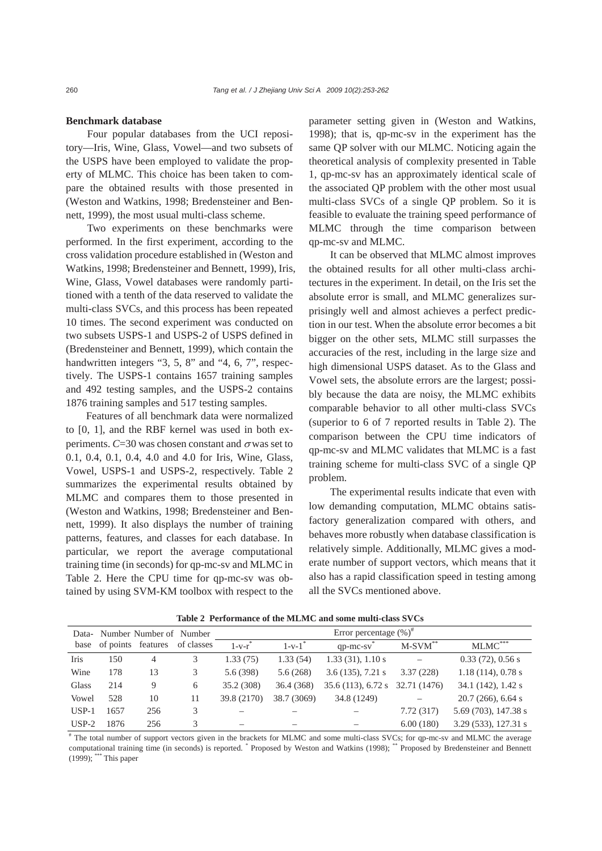### **Benchmark database**

Four popular databases from the UCI repository—Iris, Wine, Glass, Vowel—and two subsets of the USPS have been employed to validate the property of MLMC. This choice has been taken to compare the obtained results with those presented in (Weston and Watkins, 1998; Bredensteiner and Bennett, 1999), the most usual multi-class scheme.

Two experiments on these benchmarks were performed. In the first experiment, according to the cross validation procedure established in (Weston and Watkins, 1998; Bredensteiner and Bennett, 1999), Iris, Wine, Glass, Vowel databases were randomly partitioned with a tenth of the data reserved to validate the multi-class SVCs, and this process has been repeated 10 times. The second experiment was conducted on two subsets USPS-1 and USPS*-*2 of USPS defined in (Bredensteiner and Bennett, 1999), which contain the handwritten integers "3, 5, 8" and "4, 6, 7", respectively. The USPS*-*1 contains 1657 training samples and 492 testing samples, and the USPS*-*2 contains 1876 training samples and 517 testing samples.

Features of all benchmark data were normalized to [0, 1], and the RBF kernel was used in both experiments.  $C=30$  was chosen constant and  $\sigma$  was set to 0.1, 0.4, 0.1, 0.4, 4.0 and 4.0 for Iris, Wine, Glass, Vowel, USPS-1 and USPS*-*2, respectively. Table 2 summarizes the experimental results obtained by MLMC and compares them to those presented in (Weston and Watkins, 1998; Bredensteiner and Bennett, 1999). It also displays the number of training patterns, features, and classes for each database. In particular, we report the average computational training time (in seconds) for qp-mc-sv and MLMC in Table 2. Here the CPU time for qp-mc-sv was obtained by using SVM-KM toolbox with respect to the parameter setting given in (Weston and Watkins, 1998); that is, qp-mc-sv in the experiment has the same QP solver with our MLMC. Noticing again the theoretical analysis of complexity presented in Table 1, qp-mc-sv has an approximately identical scale of the associated QP problem with the other most usual multi-class SVCs of a single QP problem. So it is feasible to evaluate the training speed performance of MLMC through the time comparison between qp-mc-sv and MLMC.

It can be observed that MLMC almost improves the obtained results for all other multi-class architectures in the experiment. In detail, on the Iris set the absolute error is small, and MLMC generalizes surprisingly well and almost achieves a perfect prediction in our test. When the absolute error becomes a bit bigger on the other sets, MLMC still surpasses the accuracies of the rest, including in the large size and high dimensional USPS dataset. As to the Glass and Vowel sets, the absolute errors are the largest; possibly because the data are noisy, the MLMC exhibits comparable behavior to all other multi-class SVCs (superior to 6 of 7 reported results in Table 2). The comparison between the CPU time indicators of qp-mc-sv and MLMC validates that MLMC is a fast training scheme for multi-class SVC of a single QP problem.

The experimental results indicate that even with low demanding computation, MLMC obtains satisfactory generalization compared with others, and behaves more robustly when database classification is relatively simple. Additionally, MLMC gives a moderate number of support vectors, which means that it also has a rapid classification speed in testing among all the SVCs mentioned above.

| Data-                   | Number Number of Number |            | Error percentage $(\%)^{\#}$ |                      |                          |                     |              |                       |
|-------------------------|-------------------------|------------|------------------------------|----------------------|--------------------------|---------------------|--------------|-----------------------|
| base of points features |                         | of classes | $1-v-r$                      | $1-v-1$ <sup>*</sup> | $qp$ -mc-sv              | $M-SVM$ **          | $MLMC$ ***   |                       |
| Iris                    | 150                     | 4          | 3                            | 1.33(75)             | 1.33(54)                 | 1.33(31), 1.10s     |              | $0.33(72)$ , $0.56 s$ |
| Wine                    | 178                     | 13         | 3                            | 5.6(398)             | 5.6(268)                 | $3.6(135)$ , 7.21 s | 3.37(228)    | 1.18(114), 0.78s      |
| Glass                   | 214                     | 9          | 6                            | 35.2 (308)           | 36.4 (368)               | 35.6(113), 6.72s    | 32.71 (1476) | 34.1 (142), 1.42 s    |
| Vowel                   | 528                     | 10         | 11                           | 39.8 (2170)          | 38.7 (3069)              | 34.8 (1249)         |              | $20.7(266)$ , 6.64 s  |
| $USP-1$                 | 1657                    | 256        | 3                            |                      |                          |                     | 7.72(317)    | 5.69 (703), 147.38 s  |
| $USP-2$                 | 1876                    | 256        | 3                            | –                    | $\overline{\phantom{0}}$ |                     | 6.00(180)    | 3.29 (533), 127.31 s  |

**Table 2 Performance of the MLMC and some multi-class SVCs** 

# The total number of support vectors given in the brackets for MLMC and some multi-class SVCs; for qp-mc-sv and MLMC the average computational training time (in seconds) is reported. \* Proposed by Weston and Watkins (1998); \*\* Proposed by Bredensteiner and Bennett (1999); \*\*\* This paper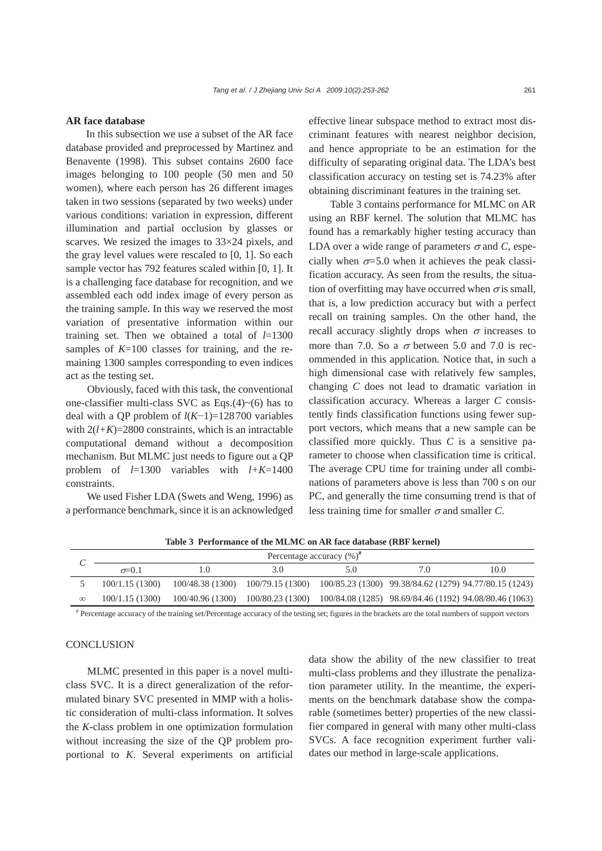## **AR face database**

In this subsection we use a subset of the AR face database provided and preprocessed by Martinez and Benavente (1998). This subset contains 2600 face images belonging to 100 people (50 men and 50 women), where each person has 26 different images taken in two sessions (separated by two weeks) under various conditions: variation in expression, different illumination and partial occlusion by glasses or scarves. We resized the images to 33×24 pixels, and the gray level values were rescaled to [0, 1]. So each sample vector has 792 features scaled within [0, 1]. It is a challenging face database for recognition, and we assembled each odd index image of every person as the training sample. In this way we reserved the most variation of presentative information within our training set. Then we obtained a total of *l*=1300 samples of  $K=100$  classes for training, and the remaining 1300 samples corresponding to even indices act as the testing set.

Obviously, faced with this task, the conventional one-classifier multi-class SVC as Eqs.(4) $\sim$ (6) has to deal with a QP problem of *l*(*K*−1)=128700 variables with  $2(l+K)=2800$  constraints, which is an intractable computational demand without a decomposition mechanism. But MLMC just needs to figure out a QP problem of *l*=1300 variables with *l+K*=1400 constraints.

We used Fisher LDA (Swets and Weng, 1996) as a performance benchmark, since it is an acknowledged effective linear subspace method to extract most discriminant features with nearest neighbor decision, and hence appropriate to be an estimation for the difficulty of separating original data. The LDA's best classification accuracy on testing set is 74.23% after obtaining discriminant features in the training set.

Table 3 contains performance for MLMC on AR using an RBF kernel. The solution that MLMC has found has a remarkably higher testing accuracy than LDA over a wide range of parameters  $\sigma$  and *C*, especially when  $\sigma$ =5.0 when it achieves the peak classification accuracy. As seen from the results, the situation of overfitting may have occurred when  $\sigma$  is small, that is, a low prediction accuracy but with a perfect recall on training samples. On the other hand, the recall accuracy slightly drops when  $\sigma$  increases to more than 7.0. So a  $\sigma$  between 5.0 and 7.0 is recommended in this application. Notice that, in such a high dimensional case with relatively few samples, changing *C* does not lead to dramatic variation in classification accuracy. Whereas a larger *C* consistently finds classification functions using fewer support vectors, which means that a new sample can be classified more quickly. Thus *C* is a sensitive parameter to choose when classification time is critical. The average CPU time for training under all combinations of parameters above is less than 700 s on our PC, and generally the time consuming trend is that of less training time for smaller  $\sigma$  and smaller *C*.

|          | Percentage accuracy $(\%)^n$ |  |     |     |                                                                                          |      |  |
|----------|------------------------------|--|-----|-----|------------------------------------------------------------------------------------------|------|--|
|          | $\sigma = 0.1$               |  | 3.0 | 5.0 | 7.0                                                                                      | 10.0 |  |
|          | 100/1.15(1300)               |  |     |     | 100/48.38 (1300) 100/79.15 (1300) 100/85.23 (1300) 99.38/84.62 (1279) 94.77/80.15 (1243) |      |  |
| $\infty$ | 100/1.15(1300)               |  |     |     | 100/40.96 (1300) 100/80.23 (1300) 100/84.08 (1285) 98.69/84.46 (1192) 94.08/80.46 (1063) |      |  |

**Table 3 Performance of the MLMC on AR face database (RBF kernel)** 

*#* Percentage accuracy of the training set/Percentage accuracy of the testing set; figures in the brackets are the total numbers of support vectors

# **CONCLUSION**

MLMC presented in this paper is a novel multiclass SVC. It is a direct generalization of the reformulated binary SVC presented in MMP with a holistic consideration of multi-class information. It solves the *K*-class problem in one optimization formulation without increasing the size of the QP problem proportional to *K*. Several experiments on artificial data show the ability of the new classifier to treat multi-class problems and they illustrate the penalization parameter utility. In the meantime, the experiments on the benchmark database show the comparable (sometimes better) properties of the new classifier compared in general with many other multi-class SVCs. A face recognition experiment further validates our method in large-scale applications.